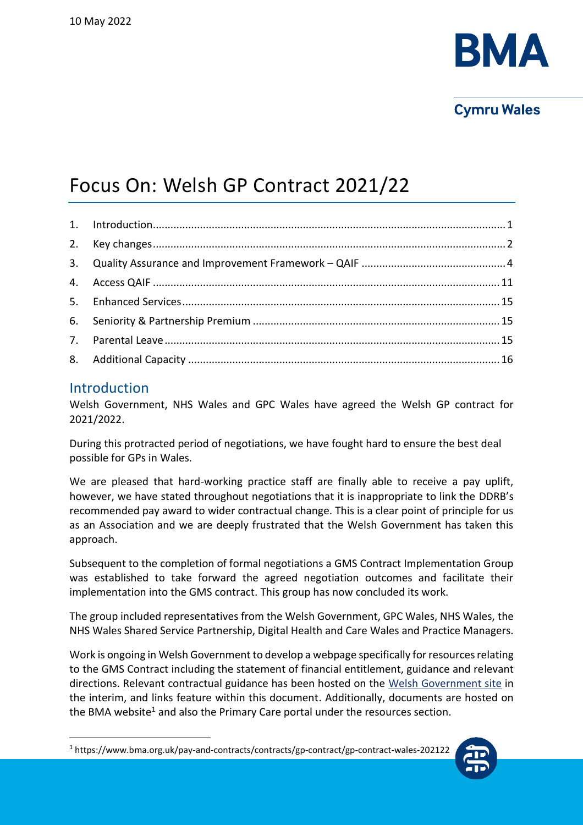

# **Cymru Wales**

# Focus On: Welsh GP Contract 2021/22

# <span id="page-0-0"></span>Introduction

Welsh Government, NHS Wales and GPC Wales have agreed the Welsh GP contract for 2021/2022.

During this protracted period of negotiations, we have fought hard to ensure the best deal possible for GPs in Wales.

We are pleased that hard-working practice staff are finally able to receive a pay uplift, however, we have stated throughout negotiations that it is inappropriate to link the DDRB's recommended pay award to wider contractual change. This is a clear point of principle for us as an Association and we are deeply frustrated that the Welsh Government has taken this approach.

Subsequent to the completion of formal negotiations a GMS Contract Implementation Group was established to take forward the agreed negotiation outcomes and facilitate their implementation into the GMS contract. This group has now concluded its work.

The group included representatives from the Welsh Government, GPC Wales, NHS Wales, the NHS Wales Shared Service Partnership, Digital Health and Care Wales and Practice Managers.

Work is ongoing in Welsh Government to develop a webpage specifically for resources relating to the GMS Contract including the statement of financial entitlement, guidance and relevant directions. Relevant contractual guidance has been hosted on the [Welsh Government site](https://gov.wales/general-medical-services-gms-contract-guidance-2021-2022) in the interim, and links feature within this document. Additionally, documents are hosted on the BMA website<sup>1</sup> and also the Primary Care portal under the resources section.

<sup>1</sup> https://www.bma.org.uk/pay-and-contracts/contracts/gp-contract/gp-contract-wales-202122

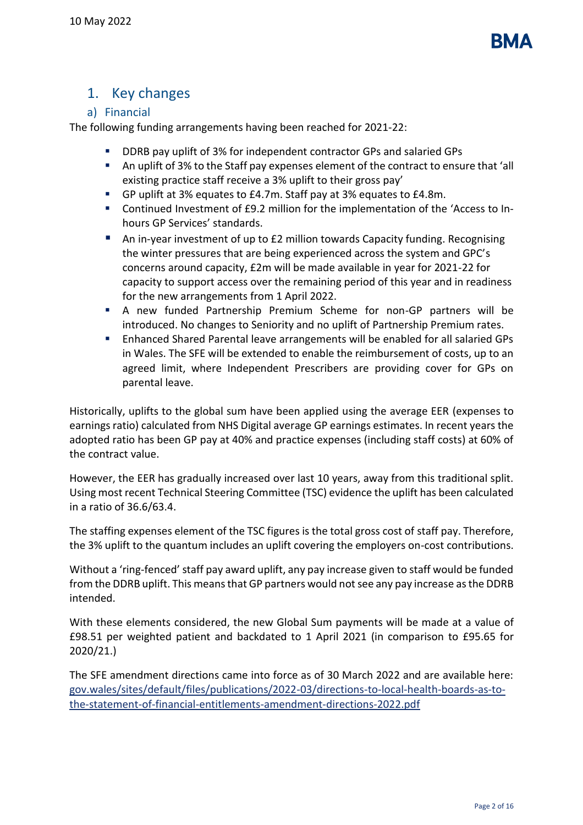

# <span id="page-1-0"></span>1. Key changes

# a) Financial

The following funding arrangements having been reached for 2021-22:

- DDRB pay uplift of 3% for independent contractor GPs and salaried GPs
- An uplift of 3% to the Staff pay expenses element of the contract to ensure that 'all existing practice staff receive a 3% uplift to their gross pay'
- GP uplift at 3% equates to £4.7m. Staff pay at 3% equates to £4.8m.
- Continued Investment of £9.2 million for the implementation of the 'Access to Inhours GP Services' standards.
- An in-year investment of up to £2 million towards Capacity funding. Recognising the winter pressures that are being experienced across the system and GPC's concerns around capacity, £2m will be made available in year for 2021-22 for capacity to support access over the remaining period of this year and in readiness for the new arrangements from 1 April 2022.
- A new funded Partnership Premium Scheme for non-GP partners will be introduced. No changes to Seniority and no uplift of Partnership Premium rates.
- Enhanced Shared Parental leave arrangements will be enabled for all salaried GPs in Wales. The SFE will be extended to enable the reimbursement of costs, up to an agreed limit, where Independent Prescribers are providing cover for GPs on parental leave.

Historically, uplifts to the global sum have been applied using the average EER (expenses to earnings ratio) calculated from NHS Digital average GP earnings estimates. In recent years the adopted ratio has been GP pay at 40% and practice expenses (including staff costs) at 60% of the contract value.

However, the EER has gradually increased over last 10 years, away from this traditional split. Using most recent Technical Steering Committee (TSC) evidence the uplift has been calculated in a ratio of 36.6/63.4.

The staffing expenses element of the TSC figures is the total gross cost of staff pay. Therefore, the 3% uplift to the quantum includes an uplift covering the employers on-cost contributions.

Without a 'ring-fenced' staff pay award uplift, any pay increase given to staff would be funded from the DDRB uplift. This means that GP partners would not see any pay increase as the DDRB intended.

With these elements considered, the new Global Sum payments will be made at a value of £98.51 per weighted patient and backdated to 1 April 2021 (in comparison to £95.65 for 2020/21.)

The SFE amendment directions came into force as of 30 March 2022 and are available here: [gov.wales/sites/default/files/publications/2022-03/directions-to-local-health-boards-as-to](https://gov.wales/sites/default/files/publications/2022-03/directions-to-local-health-boards-as-to-the-statement-of-financial-entitlements-amendment-directions-2022.pdf)[the-statement-of-financial-entitlements-amendment-directions-2022.pdf](https://gov.wales/sites/default/files/publications/2022-03/directions-to-local-health-boards-as-to-the-statement-of-financial-entitlements-amendment-directions-2022.pdf)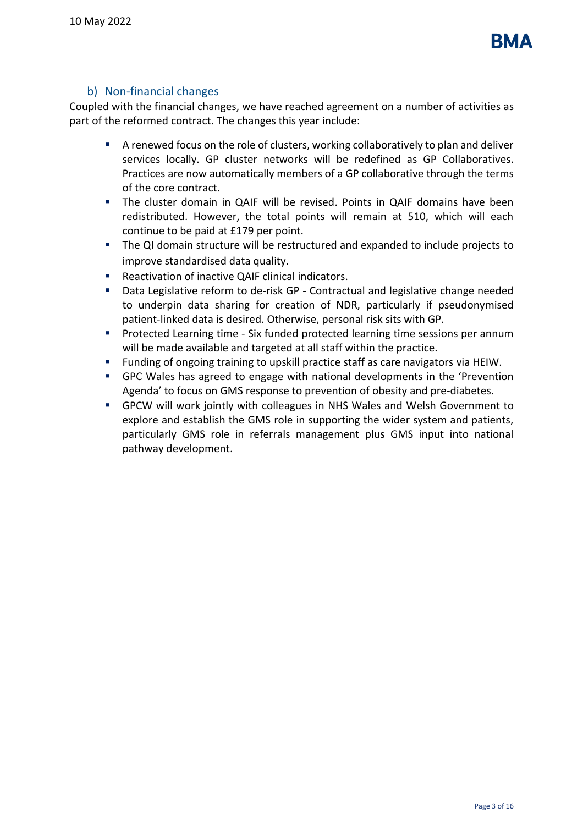

## b) Non-financial changes

Coupled with the financial changes, we have reached agreement on a number of activities as part of the reformed contract. The changes this year include:

- A renewed focus on the role of clusters, working collaboratively to plan and deliver services locally. GP cluster networks will be redefined as GP Collaboratives. Practices are now automatically members of a GP collaborative through the terms of the core contract.
- The cluster domain in QAIF will be revised. Points in QAIF domains have been redistributed. However, the total points will remain at 510, which will each continue to be paid at £179 per point.
- The QI domain structure will be restructured and expanded to include projects to improve standardised data quality.
- Reactivation of inactive QAIF clinical indicators.
- Data Legislative reform to de-risk GP Contractual and legislative change needed to underpin data sharing for creation of NDR, particularly if pseudonymised patient-linked data is desired. Otherwise, personal risk sits with GP.
- **•** Protected Learning time Six funded protected learning time sessions per annum will be made available and targeted at all staff within the practice.
- Funding of ongoing training to upskill practice staff as care navigators via HEIW.
- **•** GPC Wales has agreed to engage with national developments in the 'Prevention Agenda' to focus on GMS response to prevention of obesity and pre-diabetes.
- GPCW will work jointly with colleagues in NHS Wales and Welsh Government to explore and establish the GMS role in supporting the wider system and patients, particularly GMS role in referrals management plus GMS input into national pathway development.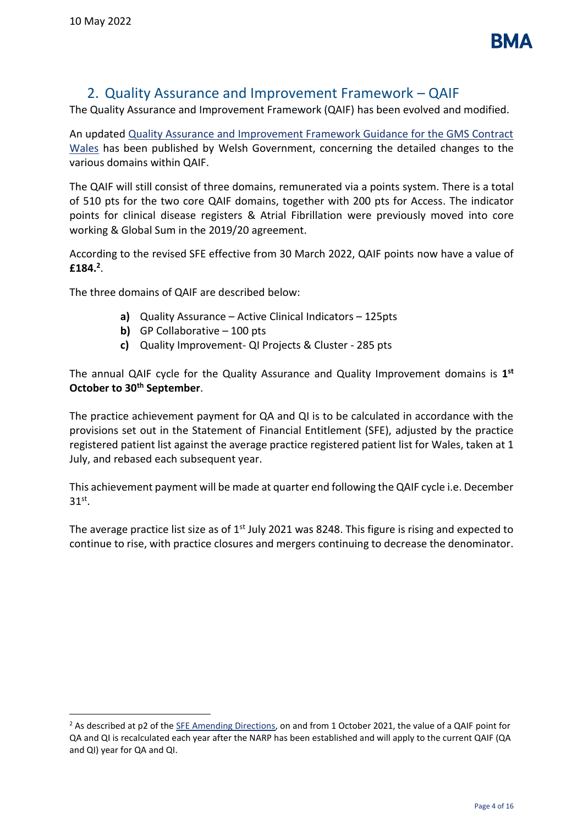# 2. Quality Assurance and Improvement Framework – QAIF

<span id="page-3-0"></span>The Quality Assurance and Improvement Framework (QAIF) has been evolved and modified.

An updated [Quality Assurance and Improvement Framework Guidance for the GMS Contract](https://gov.wales/quality-assurance-and-improvement-framework-qaif-gms-contract-2021-2022)  [Wales](https://gov.wales/quality-assurance-and-improvement-framework-qaif-gms-contract-2021-2022) has been published by Welsh Government, concerning the detailed changes to the various domains within QAIF.

The QAIF will still consist of three domains, remunerated via a points system. There is a total of 510 pts for the two core QAIF domains, together with 200 pts for Access. The indicator points for clinical disease registers & Atrial Fibrillation were previously moved into core working & Global Sum in the 2019/20 agreement.

According to the revised SFE effective from 30 March 2022, QAIF points now have a value of **£184.<sup>2</sup>** .

The three domains of QAIF are described below:

- **a)** Quality Assurance Active Clinical Indicators 125pts
- **b)** GP Collaborative 100 pts
- **c)** Quality Improvement- QI Projects & Cluster 285 pts

The annual QAIF cycle for the Quality Assurance and Quality Improvement domains is **1 st October to 30th September**.

The practice achievement payment for QA and QI is to be calculated in accordance with the provisions set out in the Statement of Financial Entitlement (SFE), adjusted by the practice registered patient list against the average practice registered patient list for Wales, taken at 1 July, and rebased each subsequent year.

This achievement payment will be made at quarter end following the QAIF cycle i.e. December  $31^\text{st}$ .

The average practice list size as of  $1<sup>st</sup>$  July 2021 was 8248. This figure is rising and expected to continue to rise, with practice closures and mergers continuing to decrease the denominator.

 $^2$  As described at p2 of th[e SFE Amending Directions,](https://gov.wales/sites/default/files/publications/2022-03/directions-to-local-health-boards-as-to-the-statement-of-financial-entitlements-amendment-directions-2022.pdf) on and from 1 October 2021, the value of a QAIF point for QA and QI is recalculated each year after the NARP has been established and will apply to the current QAIF (QA and QI) year for QA and QI.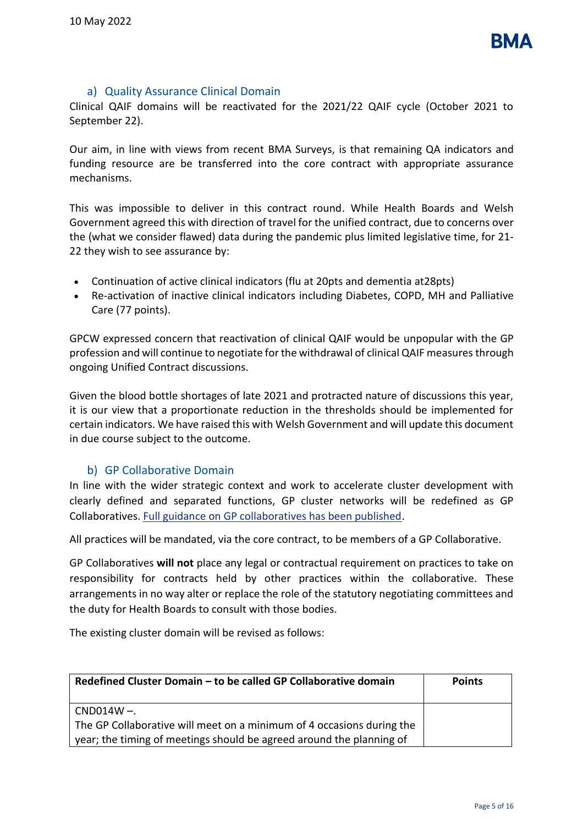

#### a) Quality Assurance Clinical Domain

Clinical QAIF domains will be reactivated for the 2021/22 QAIF cycle (October 2021 to September 22).

Our aim, in line with views from recent BMA Surveys, is that remaining QA indicators and funding resource are be transferred into the core contract with appropriate assurance mechanisms.

This was impossible to deliver in this contract round. While Health Boards and Welsh Government agreed this with direction of travel for the unified contract, due to concerns over the (what we consider flawed) data during the pandemic plus limited legislative time, for 21- 22 they wish to see assurance by:

- Continuation of active clinical indicators (flu at 20pts and dementia at28pts)
- Re-activation of inactive clinical indicators including Diabetes, COPD, MH and Palliative Care (77 points).

GPCW expressed concern that reactivation of clinical QAIF would be unpopular with the GP profession and will continue to negotiate for the withdrawal of clinical QAIF measures through ongoing Unified Contract discussions.

Given the blood bottle shortages of late 2021 and protracted nature of discussions this year, it is our view that a proportionate reduction in the thresholds should be implemented for certain indicators. We have raised this with Welsh Government and will update this document in due course subject to the outcome.

## b) GP Collaborative Domain

In line with the wider strategic context and work to accelerate cluster development with clearly defined and separated functions, GP cluster networks will be redefined as GP Collaboratives. [Full guidance on GP collaboratives has been published.](https://gov.wales/gms-contract-gp-collaborative-guidance-2021-2022)

All practices will be mandated, via the core contract, to be members of a GP Collaborative.

GP Collaboratives **will not** place any legal or contractual requirement on practices to take on responsibility for contracts held by other practices within the collaborative. These arrangements in no way alter or replace the role of the statutory negotiating committees and the duty for Health Boards to consult with those bodies.

The existing cluster domain will be revised as follows:

| Redefined Cluster Domain - to be called GP Collaborative domain       | <b>Points</b> |
|-----------------------------------------------------------------------|---------------|
| $CND014W -$                                                           |               |
| The GP Collaborative will meet on a minimum of 4 occasions during the |               |
| year; the timing of meetings should be agreed around the planning of  |               |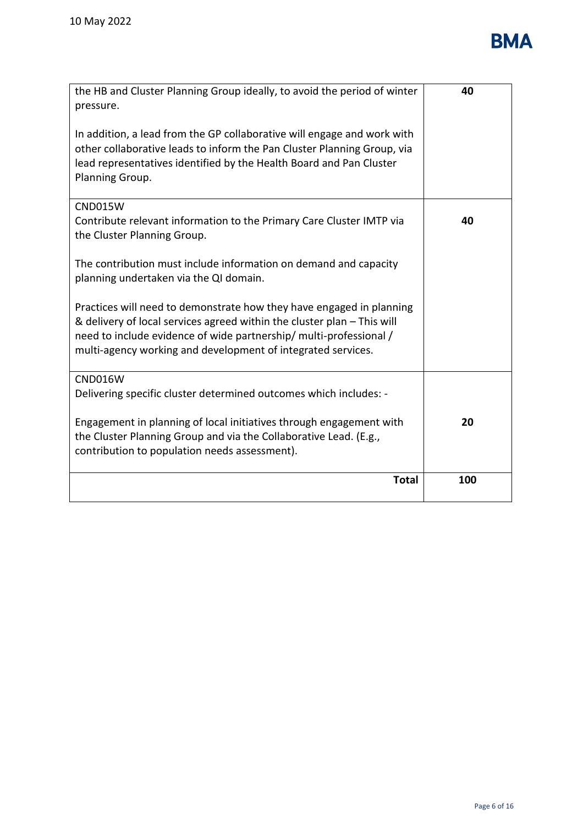

| the HB and Cluster Planning Group ideally, to avoid the period of winter<br>pressure.                                                                                                                                                                                                 | 40  |
|---------------------------------------------------------------------------------------------------------------------------------------------------------------------------------------------------------------------------------------------------------------------------------------|-----|
| In addition, a lead from the GP collaborative will engage and work with<br>other collaborative leads to inform the Pan Cluster Planning Group, via<br>lead representatives identified by the Health Board and Pan Cluster<br>Planning Group.                                          |     |
| <b>CND015W</b><br>Contribute relevant information to the Primary Care Cluster IMTP via<br>the Cluster Planning Group.                                                                                                                                                                 | 40  |
| The contribution must include information on demand and capacity<br>planning undertaken via the QI domain.                                                                                                                                                                            |     |
| Practices will need to demonstrate how they have engaged in planning<br>& delivery of local services agreed within the cluster plan - This will<br>need to include evidence of wide partnership/ multi-professional /<br>multi-agency working and development of integrated services. |     |
| <b>CND016W</b>                                                                                                                                                                                                                                                                        |     |
| Delivering specific cluster determined outcomes which includes: -                                                                                                                                                                                                                     |     |
| Engagement in planning of local initiatives through engagement with<br>the Cluster Planning Group and via the Collaborative Lead. (E.g.,<br>contribution to population needs assessment).                                                                                             | 20  |
| <b>Total</b>                                                                                                                                                                                                                                                                          | 100 |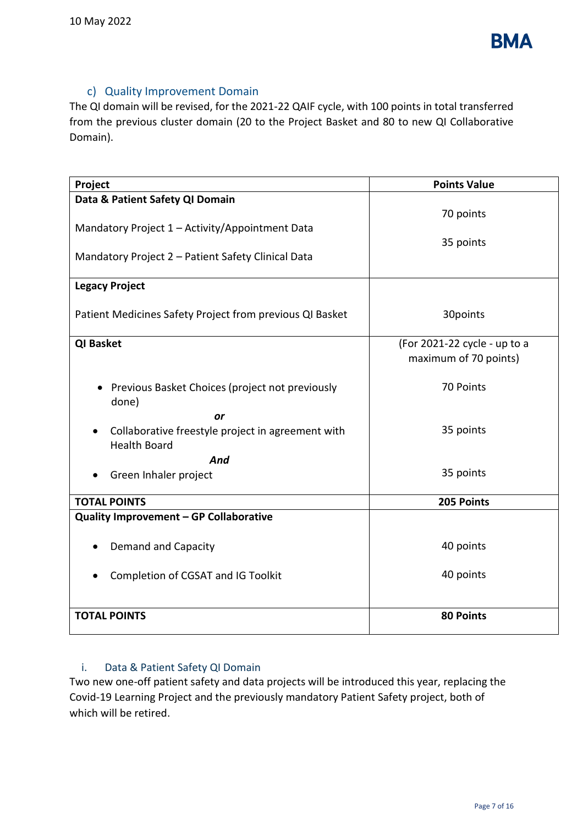

# c) Quality Improvement Domain

The QI domain will be revised, for the 2021-22 QAIF cycle, with 100 points in total transferred from the previous cluster domain (20 to the Project Basket and 80 to new QI Collaborative Domain).

| Project                                                                                               | <b>Points Value</b>                                   |
|-------------------------------------------------------------------------------------------------------|-------------------------------------------------------|
| Data & Patient Safety QI Domain                                                                       |                                                       |
| Mandatory Project 1 - Activity/Appointment Data<br>Mandatory Project 2 - Patient Safety Clinical Data | 70 points<br>35 points                                |
| <b>Legacy Project</b>                                                                                 |                                                       |
| Patient Medicines Safety Project from previous QI Basket                                              | 30points                                              |
| <b>QI Basket</b>                                                                                      | (For 2021-22 cycle - up to a<br>maximum of 70 points) |
| Previous Basket Choices (project not previously<br>done)<br>or                                        | 70 Points                                             |
| Collaborative freestyle project in agreement with<br><b>Health Board</b>                              | 35 points                                             |
| And<br>Green Inhaler project                                                                          | 35 points                                             |
| <b>TOTAL POINTS</b>                                                                                   | 205 Points                                            |
| Quality Improvement - GP Collaborative                                                                |                                                       |
| <b>Demand and Capacity</b>                                                                            | 40 points                                             |
| Completion of CGSAT and IG Toolkit                                                                    | 40 points                                             |
| <b>TOTAL POINTS</b>                                                                                   | <b>80 Points</b>                                      |

## i. Data & Patient Safety QI Domain

Two new one-off patient safety and data projects will be introduced this year, replacing the Covid-19 Learning Project and the previously mandatory Patient Safety project, both of which will be retired.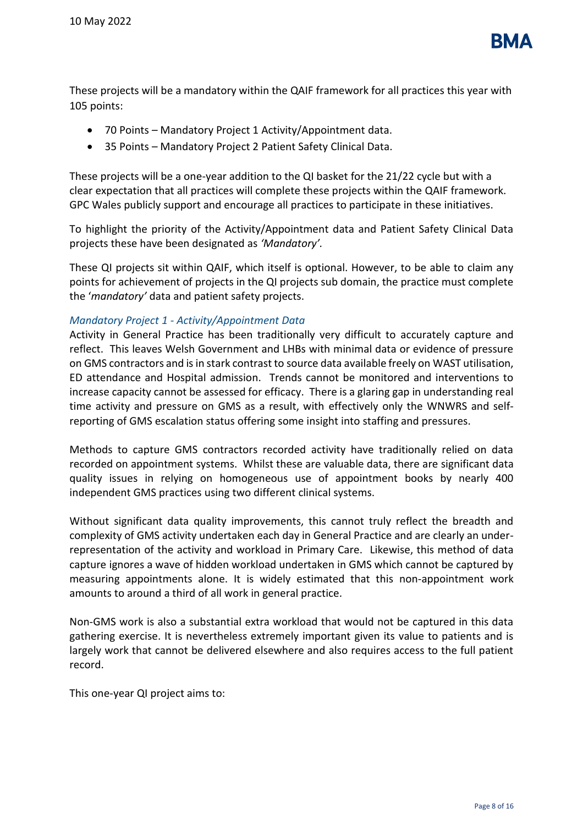

These projects will be a mandatory within the QAIF framework for all practices this year with 105 points:

- 70 Points Mandatory Project 1 Activity/Appointment data.
- 35 Points Mandatory Project 2 Patient Safety Clinical Data.

These projects will be a one-year addition to the QI basket for the 21/22 cycle but with a clear expectation that all practices will complete these projects within the QAIF framework. GPC Wales publicly support and encourage all practices to participate in these initiatives.

To highlight the priority of the Activity/Appointment data and Patient Safety Clinical Data projects these have been designated as *'Mandatory'.*

These QI projects sit within QAIF, which itself is optional. However, to be able to claim any points for achievement of projects in the QI projects sub domain, the practice must complete the '*mandatory'* data and patient safety projects.

#### *Mandatory Project 1 - Activity/Appointment Data*

Activity in General Practice has been traditionally very difficult to accurately capture and reflect. This leaves Welsh Government and LHBs with minimal data or evidence of pressure on GMS contractors and is in stark contrast to source data available freely on WAST utilisation, ED attendance and Hospital admission. Trends cannot be monitored and interventions to increase capacity cannot be assessed for efficacy. There is a glaring gap in understanding real time activity and pressure on GMS as a result, with effectively only the WNWRS and selfreporting of GMS escalation status offering some insight into staffing and pressures.

Methods to capture GMS contractors recorded activity have traditionally relied on data recorded on appointment systems. Whilst these are valuable data, there are significant data quality issues in relying on homogeneous use of appointment books by nearly 400 independent GMS practices using two different clinical systems.

Without significant data quality improvements, this cannot truly reflect the breadth and complexity of GMS activity undertaken each day in General Practice and are clearly an underrepresentation of the activity and workload in Primary Care. Likewise, this method of data capture ignores a wave of hidden workload undertaken in GMS which cannot be captured by measuring appointments alone. It is widely estimated that this non-appointment work amounts to around a third of all work in general practice.

Non-GMS work is also a substantial extra workload that would not be captured in this data gathering exercise. It is nevertheless extremely important given its value to patients and is largely work that cannot be delivered elsewhere and also requires access to the full patient record.

This one-year QI project aims to: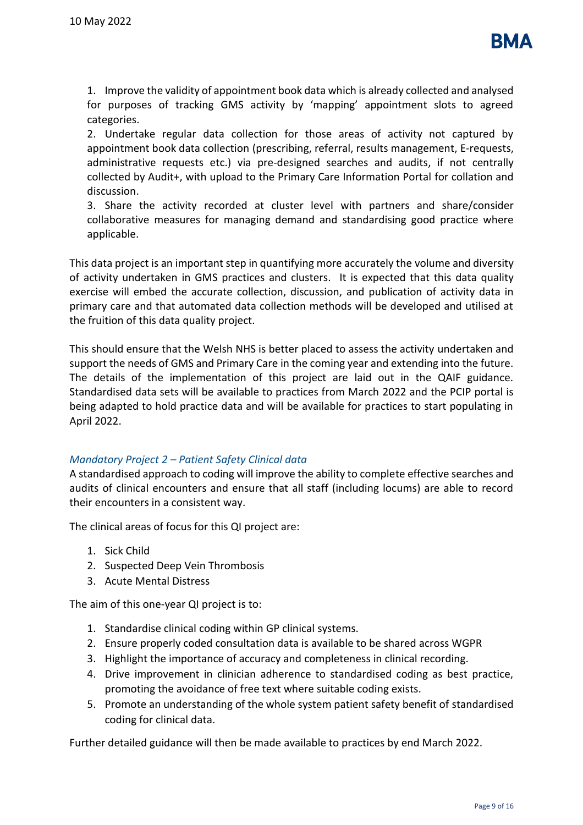

1. Improve the validity of appointment book data which is already collected and analysed for purposes of tracking GMS activity by 'mapping' appointment slots to agreed categories.

2. Undertake regular data collection for those areas of activity not captured by appointment book data collection (prescribing, referral, results management, E-requests, administrative requests etc.) via pre-designed searches and audits, if not centrally collected by Audit+, with upload to the Primary Care Information Portal for collation and discussion.

3. Share the activity recorded at cluster level with partners and share/consider collaborative measures for managing demand and standardising good practice where applicable.

This data project is an important step in quantifying more accurately the volume and diversity of activity undertaken in GMS practices and clusters. It is expected that this data quality exercise will embed the accurate collection, discussion, and publication of activity data in primary care and that automated data collection methods will be developed and utilised at the fruition of this data quality project.

This should ensure that the Welsh NHS is better placed to assess the activity undertaken and support the needs of GMS and Primary Care in the coming year and extending into the future. The details of the implementation of this project are laid out in the QAIF guidance. Standardised data sets will be available to practices from March 2022 and the PCIP portal is being adapted to hold practice data and will be available for practices to start populating in April 2022.

#### *Mandatory Project 2 – Patient Safety Clinical data*

A standardised approach to coding will improve the ability to complete effective searches and audits of clinical encounters and ensure that all staff (including locums) are able to record their encounters in a consistent way.

The clinical areas of focus for this QI project are:

- 1. Sick Child
- 2. Suspected Deep Vein Thrombosis
- 3. Acute Mental Distress

The aim of this one-year QI project is to:

- 1. Standardise clinical coding within GP clinical systems.
- 2. Ensure properly coded consultation data is available to be shared across WGPR
- 3. Highlight the importance of accuracy and completeness in clinical recording.
- 4. Drive improvement in clinician adherence to standardised coding as best practice, promoting the avoidance of free text where suitable coding exists.
- 5. Promote an understanding of the whole system patient safety benefit of standardised coding for clinical data.

Further detailed guidance will then be made available to practices by end March 2022.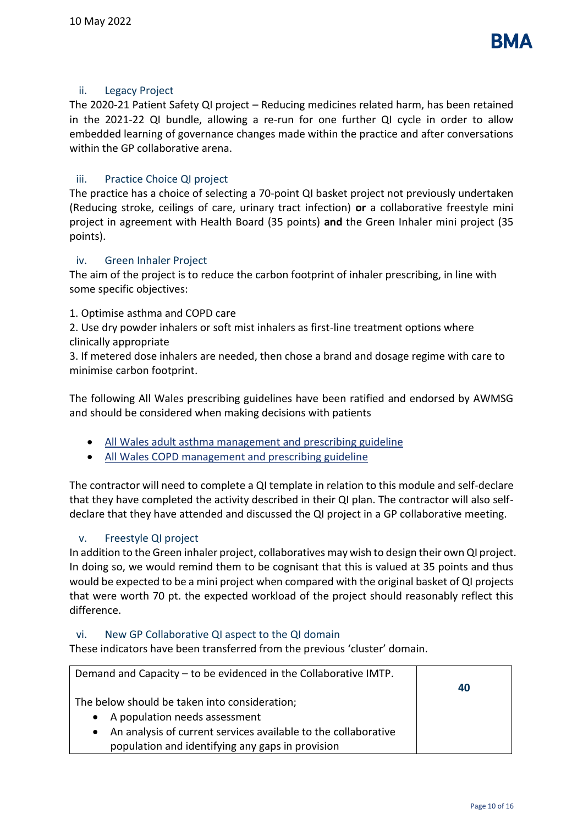#### ii. Legacy Project

The 2020-21 Patient Safety QI project – Reducing medicines related harm, has been retained in the 2021-22 QI bundle, allowing a re-run for one further QI cycle in order to allow embedded learning of governance changes made within the practice and after conversations within the GP collaborative arena.

#### iii. Practice Choice QI project

The practice has a choice of selecting a 70-point QI basket project not previously undertaken (Reducing stroke, ceilings of care, urinary tract infection) **or** a collaborative freestyle mini project in agreement with Health Board (35 points) **and** the Green Inhaler mini project (35 points).

#### iv. Green Inhaler Project

The aim of the project is to reduce the carbon footprint of inhaler prescribing, in line with some specific objectives:

#### 1. Optimise asthma and COPD care

2. Use dry powder inhalers or soft mist inhalers as first-line treatment options where clinically appropriate

3. If metered dose inhalers are needed, then chose a brand and dosage regime with care to minimise carbon footprint.

The following All Wales prescribing guidelines have been ratified and endorsed by AWMSG and should be considered when making decisions with patients

- [All Wales adult asthma management and prescribing guideline](https://eur01.safelinks.protection.outlook.com/?url=https%3A%2F%2Fawmsg.nhs.wales%2Fmedicines-appraisals-and-guidance%2Fmedicines-optimisation%2Fprescribing-guidance%2Fall-wales-adult-asthma-management-and-prescribing-guideline%2F&data=04%7C01%7CNatalie.Proctor%40gov.wales%7C79f7fb5aef1a41d58bd108d9c15fcd96%7Ca2cc36c592804ae78887d06dab89216b%7C0%7C1%7C637753439503514561%7CUnknown%7CTWFpbGZsb3d8eyJWIjoiMC4wLjAwMDAiLCJQIjoiV2luMzIiLCJBTiI6Ik1haWwiLCJXVCI6Mn0%3D%7C3000&sdata=jg5rylkkcu4odlSz76V2Fn5YnQIxph3w5Tg60GgUepM%3D&reserved=0)
- [All Wales COPD management and prescribing guideline](https://eur01.safelinks.protection.outlook.com/?url=https%3A%2F%2Fawmsg.nhs.wales%2Fmedicines-appraisals-and-guidance%2Fmedicines-optimisation%2Fprescribing-guidance%2Fall-wales-copd-management-and-prescribing-guideline%2F&data=04%7C01%7CNatalie.Proctor%40gov.wales%7C79f7fb5aef1a41d58bd108d9c15fcd96%7Ca2cc36c592804ae78887d06dab89216b%7C0%7C1%7C637753439503514561%7CUnknown%7CTWFpbGZsb3d8eyJWIjoiMC4wLjAwMDAiLCJQIjoiV2luMzIiLCJBTiI6Ik1haWwiLCJXVCI6Mn0%3D%7C3000&sdata=Cj0WJ5Qu0QBlXUQooQi22ZfqNIrfcIWCknDz2kvhbN4%3D&reserved=0)

The contractor will need to complete a QI template in relation to this module and self-declare that they have completed the activity described in their QI plan. The contractor will also selfdeclare that they have attended and discussed the QI project in a GP collaborative meeting.

#### v. Freestyle QI project

In addition to the Green inhaler project, collaboratives may wish to design their own QI project. In doing so, we would remind them to be cognisant that this is valued at 35 points and thus would be expected to be a mini project when compared with the original basket of QI projects that were worth 70 pt. the expected workload of the project should reasonably reflect this difference.

#### vi. New GP Collaborative QI aspect to the QI domain

These indicators have been transferred from the previous 'cluster' domain.

| Demand and Capacity – to be evidenced in the Collaborative IMTP.            |    |
|-----------------------------------------------------------------------------|----|
|                                                                             | 40 |
| The below should be taken into consideration;                               |    |
| A population needs assessment<br>$\bullet$                                  |    |
| An analysis of current services available to the collaborative<br>$\bullet$ |    |
| population and identifying any gaps in provision                            |    |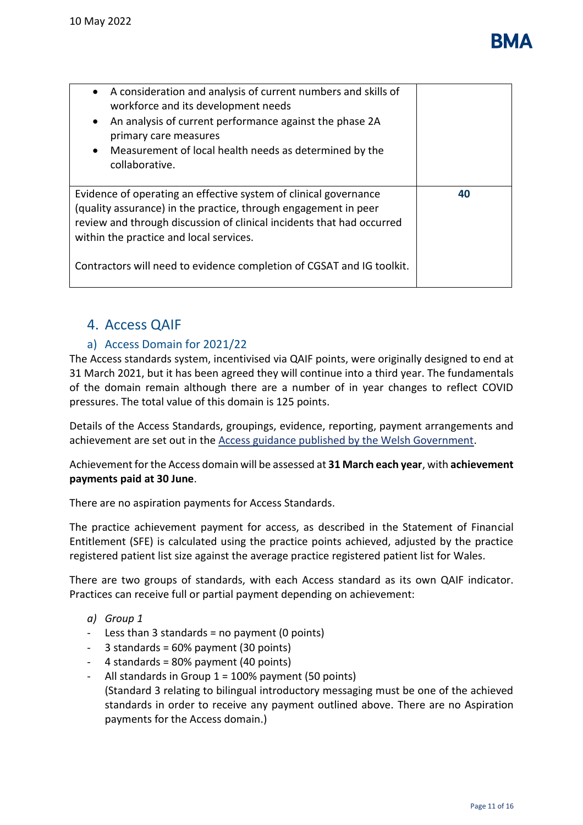| A consideration and analysis of current numbers and skills of<br>$\bullet$<br>workforce and its development needs<br>An analysis of current performance against the phase 2A<br>$\bullet$<br>primary care measures<br>Measurement of local health needs as determined by the<br>$\bullet$<br>collaborative.                      |    |
|----------------------------------------------------------------------------------------------------------------------------------------------------------------------------------------------------------------------------------------------------------------------------------------------------------------------------------|----|
| Evidence of operating an effective system of clinical governance<br>(quality assurance) in the practice, through engagement in peer<br>review and through discussion of clinical incidents that had occurred<br>within the practice and local services.<br>Contractors will need to evidence completion of CGSAT and IG toolkit. | 40 |

# <span id="page-10-0"></span>4. Access QAIF

# a) Access Domain for 2021/22

The Access standards system, incentivised via QAIF points, were originally designed to end at 31 March 2021, but it has been agreed they will continue into a third year. The fundamentals of the domain remain although there are a number of in year changes to reflect COVID pressures. The total value of this domain is 125 points.

Details of the Access Standards, groupings, evidence, reporting, payment arrangements and achievement are set out in the [Access guidance published by the Welsh Government.](https://gov.wales/access-hours-gms-services-standards-amended-supplementary-guidance-2021-2022)

Achievement for the Access domain will be assessed at **31 March each year**, with **achievement payments paid at 30 June**.

There are no aspiration payments for Access Standards.

The practice achievement payment for access, as described in the Statement of Financial Entitlement (SFE) is calculated using the practice points achieved, adjusted by the practice registered patient list size against the average practice registered patient list for Wales.

There are two groups of standards, with each Access standard as its own QAIF indicator. Practices can receive full or partial payment depending on achievement:

- *a) Group 1*
- Less than 3 standards = no payment  $(0 \text{ points})$
- $-$  3 standards = 60% payment (30 points)
- 4 standards = 80% payment (40 points)
- All standards in Group  $1 = 100\%$  payment (50 points) (Standard 3 relating to bilingual introductory messaging must be one of the achieved standards in order to receive any payment outlined above. There are no Aspiration payments for the Access domain.)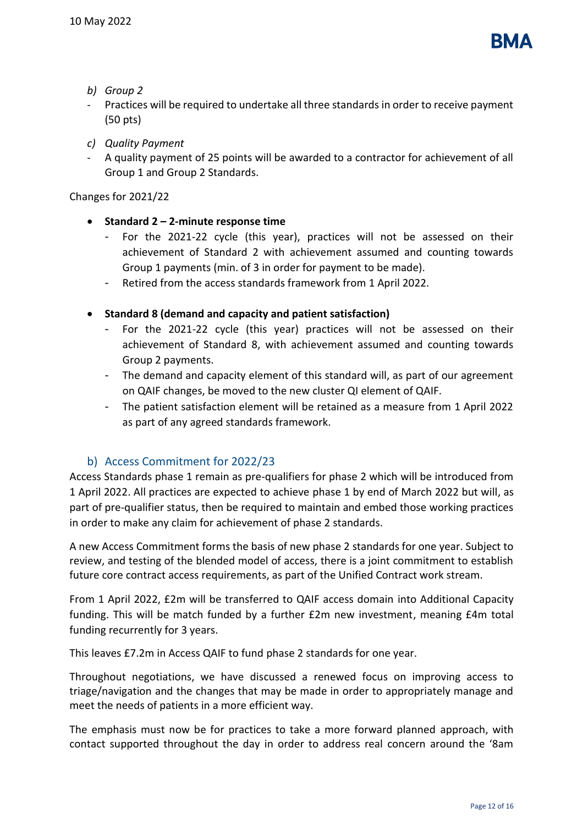

- *b) Group 2*
- Practices will be required to undertake all three standards in order to receive payment (50 pts)
- *c) Quality Payment*
- A quality payment of 25 points will be awarded to a contractor for achievement of all Group 1 and Group 2 Standards.

Changes for 2021/22

- **Standard 2 – 2-minute response time**
	- For the 2021-22 cycle (this year), practices will not be assessed on their achievement of Standard 2 with achievement assumed and counting towards Group 1 payments (min. of 3 in order for payment to be made).
	- Retired from the access standards framework from 1 April 2022.
- **Standard 8 (demand and capacity and patient satisfaction)** 
	- For the 2021-22 cycle (this year) practices will not be assessed on their achievement of Standard 8, with achievement assumed and counting towards Group 2 payments.
	- The demand and capacity element of this standard will, as part of our agreement on QAIF changes, be moved to the new cluster QI element of QAIF.
	- The patient satisfaction element will be retained as a measure from 1 April 2022 as part of any agreed standards framework.

## b) Access Commitment for 2022/23

Access Standards phase 1 remain as pre-qualifiers for phase 2 which will be introduced from 1 April 2022. All practices are expected to achieve phase 1 by end of March 2022 but will, as part of pre-qualifier status, then be required to maintain and embed those working practices in order to make any claim for achievement of phase 2 standards.

A new Access Commitment forms the basis of new phase 2 standards for one year. Subject to review, and testing of the blended model of access, there is a joint commitment to establish future core contract access requirements, as part of the Unified Contract work stream.

From 1 April 2022, £2m will be transferred to QAIF access domain into Additional Capacity funding. This will be match funded by a further £2m new investment, meaning £4m total funding recurrently for 3 years.

This leaves £7.2m in Access QAIF to fund phase 2 standards for one year.

Throughout negotiations, we have discussed a renewed focus on improving access to triage/navigation and the changes that may be made in order to appropriately manage and meet the needs of patients in a more efficient way.

The emphasis must now be for practices to take a more forward planned approach, with contact supported throughout the day in order to address real concern around the '8am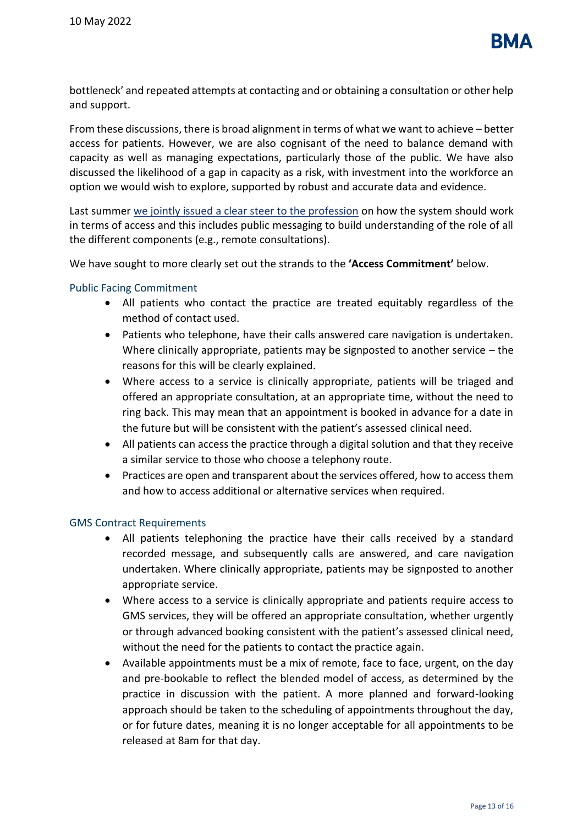

bottleneck' and repeated attempts at contacting and or obtaining a consultation or other help and support.

From these discussions, there is broad alignment in terms of what we want to achieve – better access for patients. However, we are also cognisant of the need to balance demand with capacity as well as managing expectations, particularly those of the public. We have also discussed the likelihood of a gap in capacity as a risk, with investment into the workforce an option we would wish to explore, supported by robust and accurate data and evidence.

Last summer [we jointly issued a clear steer to the profession](https://i.emlfiles4.com/cmpdoc/3/7/7/5/2/files/804565_wales-joint-letter-to-gps---access_face-to-face-appointments.pdf?utm_source=The%20British%20Medical%20Association&utm_medium=email&utm_campaign=12542155_Welsh%20GP%20Newsletter%20July%202021&dm_t=0,0,0,0,0) on how the system should work in terms of access and this includes public messaging to build understanding of the role of all the different components (e.g., remote consultations).

We have sought to more clearly set out the strands to the **'Access Commitment'** below.

#### Public Facing Commitment

- All patients who contact the practice are treated equitably regardless of the method of contact used.
- Patients who telephone, have their calls answered care navigation is undertaken. Where clinically appropriate, patients may be signposted to another service – the reasons for this will be clearly explained.
- Where access to a service is clinically appropriate, patients will be triaged and offered an appropriate consultation, at an appropriate time, without the need to ring back. This may mean that an appointment is booked in advance for a date in the future but will be consistent with the patient's assessed clinical need.
- All patients can access the practice through a digital solution and that they receive a similar service to those who choose a telephony route.
- Practices are open and transparent about the services offered, how to access them and how to access additional or alternative services when required.

#### GMS Contract Requirements

- All patients telephoning the practice have their calls received by a standard recorded message, and subsequently calls are answered, and care navigation undertaken. Where clinically appropriate, patients may be signposted to another appropriate service.
- Where access to a service is clinically appropriate and patients require access to GMS services, they will be offered an appropriate consultation, whether urgently or through advanced booking consistent with the patient's assessed clinical need, without the need for the patients to contact the practice again.
- Available appointments must be a mix of remote, face to face, urgent, on the day and pre-bookable to reflect the blended model of access, as determined by the practice in discussion with the patient. A more planned and forward-looking approach should be taken to the scheduling of appointments throughout the day, or for future dates, meaning it is no longer acceptable for all appointments to be released at 8am for that day.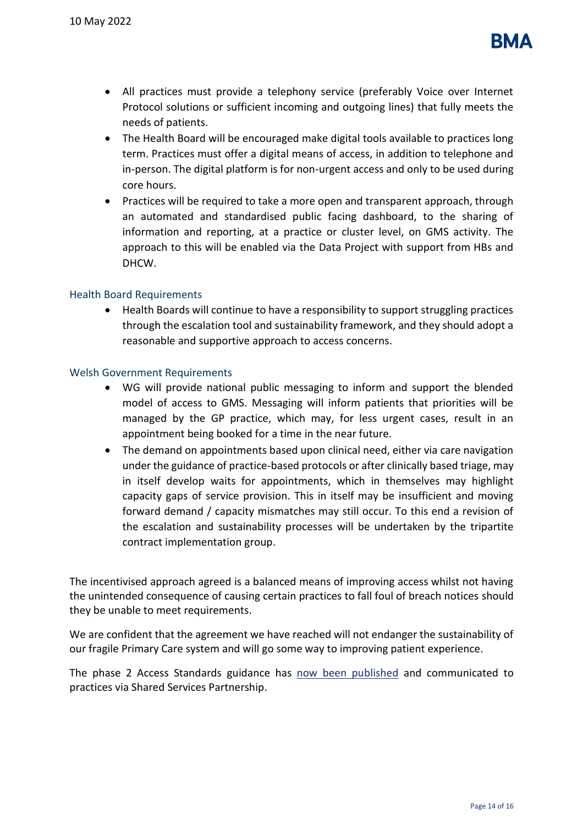

- All practices must provide a telephony service (preferably Voice over Internet Protocol solutions or sufficient incoming and outgoing lines) that fully meets the needs of patients.
- The Health Board will be encouraged make digital tools available to practices long term. Practices must offer a digital means of access, in addition to telephone and in-person. The digital platform is for non-urgent access and only to be used during core hours.
- Practices will be required to take a more open and transparent approach, through an automated and standardised public facing dashboard, to the sharing of information and reporting, at a practice or cluster level, on GMS activity. The approach to this will be enabled via the Data Project with support from HBs and DHCW.

#### Health Board Requirements

• Health Boards will continue to have a responsibility to support struggling practices through the escalation tool and sustainability framework, and they should adopt a reasonable and supportive approach to access concerns.

#### Welsh Government Requirements

- WG will provide national public messaging to inform and support the blended model of access to GMS. Messaging will inform patients that priorities will be managed by the GP practice, which may, for less urgent cases, result in an appointment being booked for a time in the near future.
- The demand on appointments based upon clinical need, either via care navigation under the guidance of practice-based protocols or after clinically based triage, may in itself develop waits for appointments, which in themselves may highlight capacity gaps of service provision. This in itself may be insufficient and moving forward demand / capacity mismatches may still occur. To this end a revision of the escalation and sustainability processes will be undertaken by the tripartite contract implementation group.

The incentivised approach agreed is a balanced means of improving access whilst not having the unintended consequence of causing certain practices to fall foul of breach notices should they be unable to meet requirements.

We are confident that the agreement we have reached will not endanger the sustainability of our fragile Primary Care system and will go some way to improving patient experience.

The phase 2 Access Standards guidance has [now been published](https://gov.wales/guidance-general-medical-services-gms-contract-access-commitment-2022-2023) and communicated to practices via Shared Services Partnership.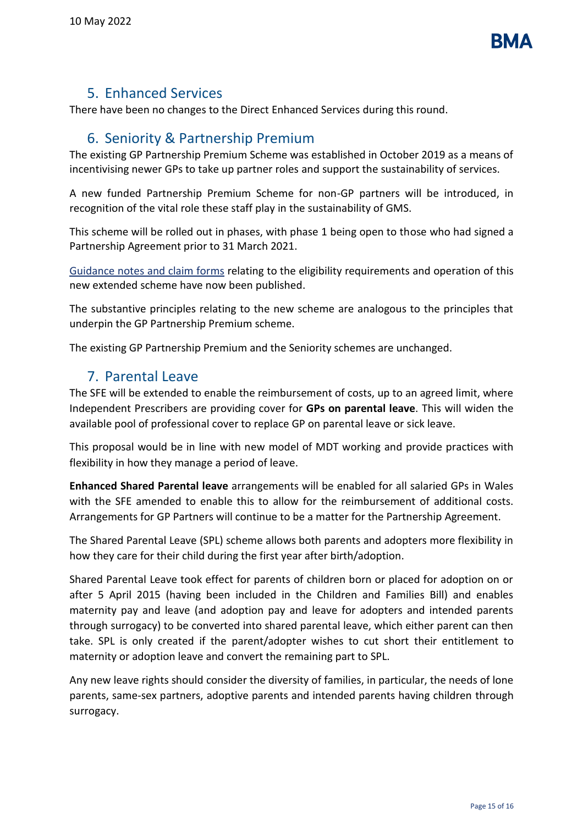

# 5. Enhanced Services

<span id="page-14-0"></span>There have been no changes to the Direct Enhanced Services during this round.

# 6. Seniority & Partnership Premium

<span id="page-14-1"></span>The existing GP Partnership Premium Scheme was established in October 2019 as a means of incentivising newer GPs to take up partner roles and support the sustainability of services.

A new funded Partnership Premium Scheme for non-GP partners will be introduced, in recognition of the vital role these staff play in the sustainability of GMS.

This scheme will be rolled out in phases, with phase 1 being open to those who had signed a Partnership Agreement prior to 31 March 2021.

[Guidance notes and claim forms](https://gov.wales/gms-contract-partnership-premium-scheme) relating to the eligibility requirements and operation of this new extended scheme have now been published.

The substantive principles relating to the new scheme are analogous to the principles that underpin the GP Partnership Premium scheme.

The existing GP Partnership Premium and the Seniority schemes are unchanged.

# <span id="page-14-2"></span>7. Parental Leave

The SFE will be extended to enable the reimbursement of costs, up to an agreed limit, where Independent Prescribers are providing cover for **GPs on parental leave**. This will widen the available pool of professional cover to replace GP on parental leave or sick leave.

This proposal would be in line with new model of MDT working and provide practices with flexibility in how they manage a period of leave.

**Enhanced Shared Parental leave** arrangements will be enabled for all salaried GPs in Wales with the SFE amended to enable this to allow for the reimbursement of additional costs. Arrangements for GP Partners will continue to be a matter for the Partnership Agreement.

The Shared Parental Leave (SPL) scheme allows both parents and adopters more flexibility in how they care for their child during the first year after birth/adoption.

Shared Parental Leave took effect for parents of children born or placed for adoption on or after 5 April 2015 (having been included in the Children and Families Bill) and enables maternity pay and leave (and adoption pay and leave for adopters and intended parents through surrogacy) to be converted into shared parental leave, which either parent can then take. SPL is only created if the parent/adopter wishes to cut short their entitlement to maternity or adoption leave and convert the remaining part to SPL.

Any new leave rights should consider the diversity of families, in particular, the needs of lone parents, same-sex partners, adoptive parents and intended parents having children through surrogacy.